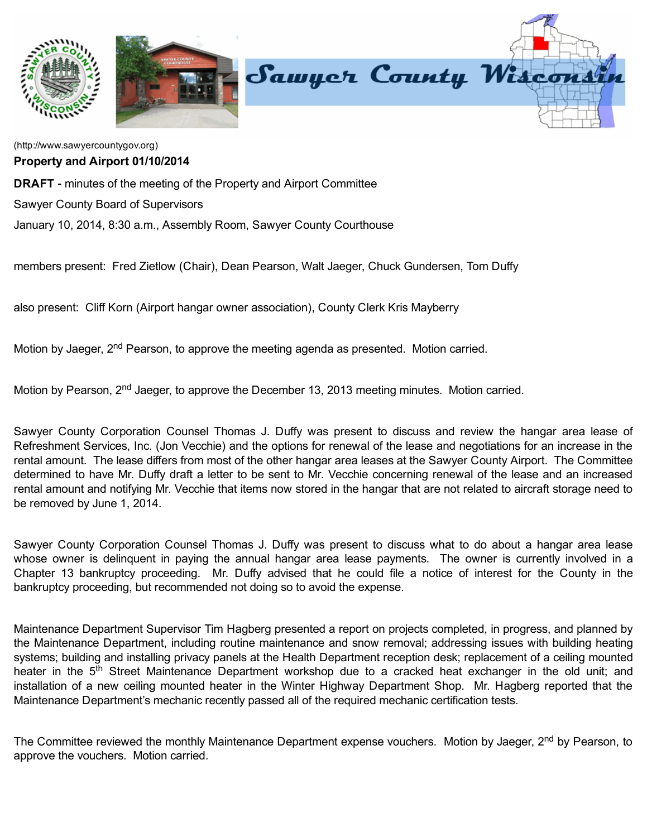

[\(http://www.sawyercountygov.org\)](http://www.sawyercountygov.org/) Property and Airport 01/10/2014

**DRAFT** - minutes of the meeting of the Property and Airport Committee

Sawyer County Board of Supervisors

January 10, 2014, 8:30 a.m., Assembly Room, Sawyer County Courthouse

members present: Fred Zietlow (Chair), Dean Pearson, Walt Jaeger, Chuck Gundersen, Tom Duffy

also present: Cliff Korn (Airport hangar owner association), County Clerk Kris Mayberry

Motion by Jaeger, 2<sup>nd</sup> Pearson, to approve the meeting agenda as presented. Motion carried.

Motion by Pearson, 2<sup>nd</sup> Jaeger, to approve the December 13, 2013 meeting minutes. Motion carried.

Sawyer County Corporation Counsel Thomas J. Duffy was present to discuss and review the hangar area lease of Refreshment Services, Inc. (Jon Vecchie) and the options for renewal of the lease and negotiations for an increase in the rental amount. The lease differs from most of the other hangar area leases at the Sawyer County Airport. The Committee determined to have Mr. Duffy draft a letter to be sent to Mr. Vecchie concerning renewal of the lease and an increased rental amount and notifying Mr. Vecchie that items now stored in the hangar that are not related to aircraft storage need to be removed by June 1, 2014.

Sawyer County Corporation Counsel Thomas J. Duffy was present to discuss what to do about a hangar area lease whose owner is delinquent in paying the annual hangar area lease payments. The owner is currently involved in a Chapter 13 bankruptcy proceeding. Mr. Duffy advised that he could file a notice of interest for the County in the bankruptcy proceeding, but recommended not doing so to avoid the expense.

Maintenance Department Supervisor Tim Hagberg presented a report on projects completed, in progress, and planned by the Maintenance Department, including routine maintenance and snow removal; addressing issues with building heating systems; building and installing privacy panels at the Health Department reception desk; replacement of a ceiling mounted heater in the 5<sup>th</sup> Street Maintenance Department workshop due to a cracked heat exchanger in the old unit; and installation of a new ceiling mounted heater in the Winter Highway Department Shop. Mr. Hagberg reported that the Maintenance Department's mechanic recently passed all of the required mechanic certification tests.

The Committee reviewed the monthly Maintenance Department expense vouchers. Motion by Jaeger, 2<sup>nd</sup> by Pearson, to approve the vouchers. Motion carried.